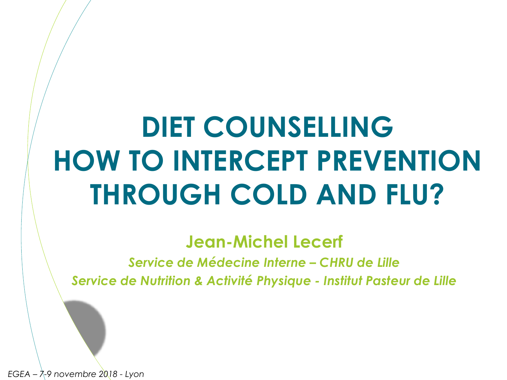# **DIET COUNSELLING HOW TO INTERCEPT PREVENTION THROUGH COLD AND FLU?**

**Jean-Michel Lecerf**

*Service de Médecine Interne – CHRU de Lille Service de Nutrition & Activité Physique - Institut Pasteur de Lille*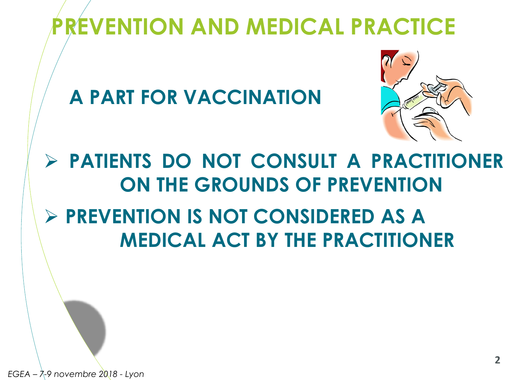## **PREVENTION AND MEDICAL PRACTICE**

**A PART FOR VACCINATION**



#### **PATIENTS DO NOT CONSULT A PRACTITIONER ON THE GROUNDS OF PREVENTION PREVENTION IS NOT CONSIDERED AS A MEDICAL ACT BY THE PRACTITIONER**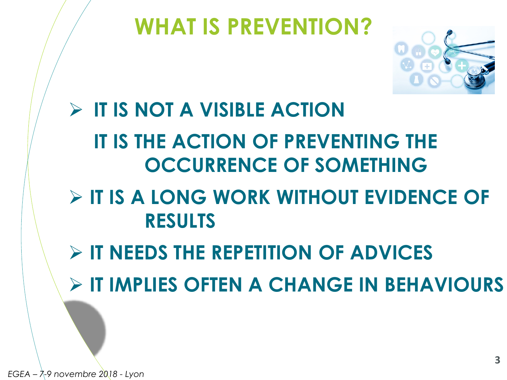#### **WHAT IS PREVENTION?**



## **IT IS NOT A VISIBLE ACTION IT IS THE ACTION OF PREVENTING THE OCCURRENCE OF SOMETHING IT IS A LONG WORK WITHOUT EVIDENCE OF RESULTS IT NEEDS THE REPETITION OF ADVICES IT IMPLIES OFTEN A CHANGE IN BEHAVIOURS**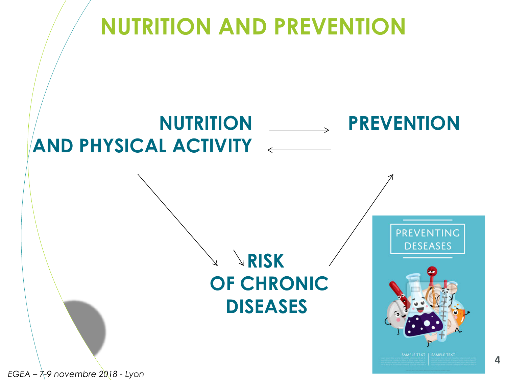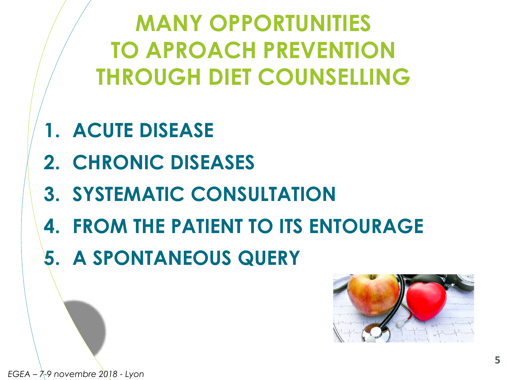**MANY OPPORTUNITIES TO APROACH PREVENTION THROUGH DIET COUNSELLING**

- **1. ACUTE DISEASE**
- **2. CHRONIC DISEASES**
- **3. SYSTEMATIC CONSULTATION**
- **4. FROM THE PATIENT TO ITS ENTOURAGE**
- **5. A SPONTANEOUS QUERY**

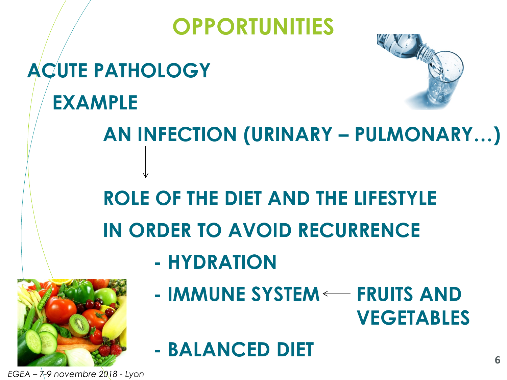### **OPPORTUNITIES**

## **ACUTE PATHOLOGY EXAMPLE**



#### **AN INFECTION (URINARY – PULMONARY…)**

## **ROLE OF THE DIET AND THE LIFESTYLE IN ORDER TO AVOID RECURRENCE**

**- HYDRATION**



- **- IMMUNE SYSTEM FRUITS AND VEGETABLES**
- **- BALANCED DIET**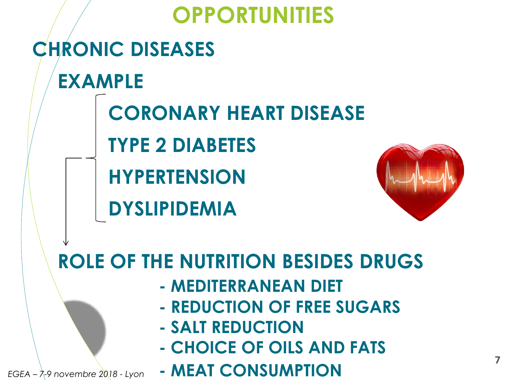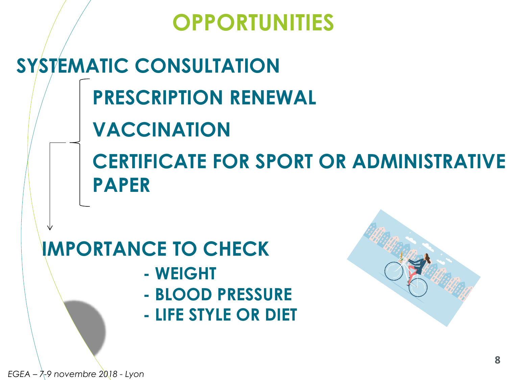#### **OPPORTUNITIES**

## **SYSTEMATIC CONSULTATION PRESCRIPTION RENEWAL VACCINATION CERTIFICATE FOR SPORT OR ADMINISTRATIVE PAPER**

#### **IMPORTANCE TO CHECK**

- **- WEIGHT**
- **- BLOOD PRESSURE**
- **- LIFE STYLE OR DIET**

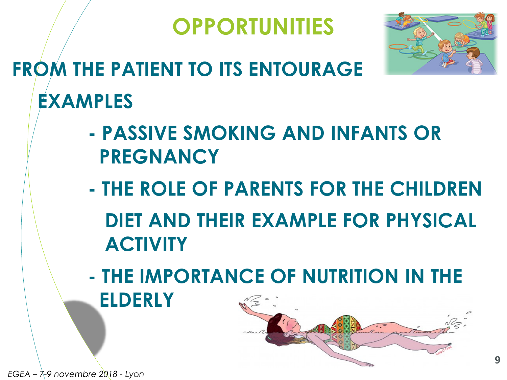



## **FROM THE PATIENT TO ITS ENTOURAGE EXAMPLES**

- **- PASSIVE SMOKING AND INFANTS OR PREGNANCY**
- **- THE ROLE OF PARENTS FOR THE CHILDREN DIET AND THEIR EXAMPLE FOR PHYSICAL ACTIVITY**
- **- THE IMPORTANCE OF NUTRITION IN THE ELDERLY**

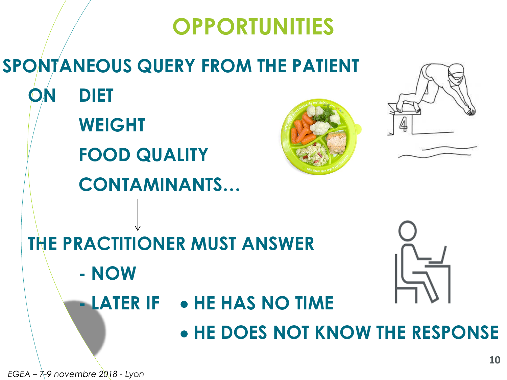#### **OPPORTUNITIES**

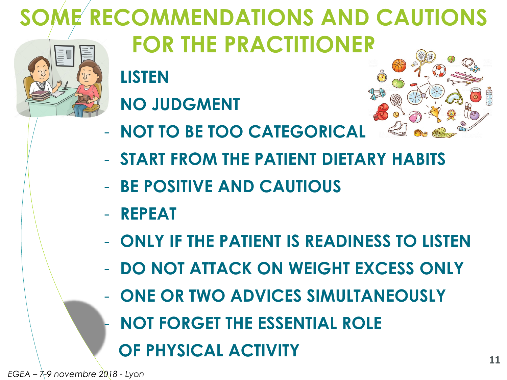# **SOME RECOMMENDATIONS AND CAUTIONS**



# - **LISTEN FOR THE PRACTITIONER**





- **NOT TO BE TOO CATEGORICAL**
- **START FROM THE PATIENT DIETARY HABITS**
- **BE POSITIVE AND CAUTIOUS**
- **REPEAT**
- **ONLY IF THE PATIENT IS READINESS TO LISTEN**
- **DO NOT ATTACK ON WEIGHT EXCESS ONLY**
- **ONE OR TWO ADVICES SIMULTANEOUSLY**
- **NOT FORGET THE ESSENTIAL ROLE**
	- **OF PHYSICAL ACTIVITY**